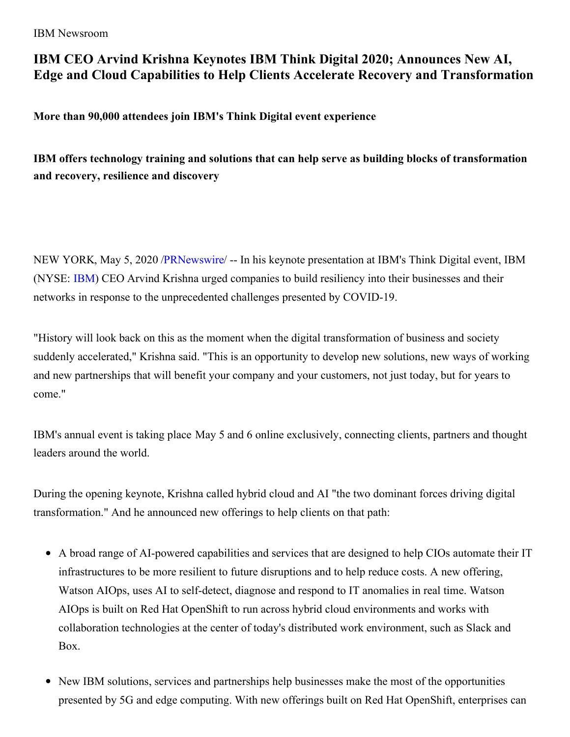IBM Newsroom

## **IBM CEO Arvind Krishna Keynotes IBM Think Digital 2020; Announces New AI, Edge and Cloud Capabilities to Help Clients Accelerate Recovery and Transformation**

**More than 90,000 attendees join IBM's Think Digital event experience**

**IBM offers technology training and solutions that can help serve as building blocks of transformation and recovery, resilience and discovery**

NEW YORK, May 5, 2020 [/PRNewswire](http://www.prnewswire.com/)/ -- In his keynote presentation at IBM's Think Digital event, IBM (NYSE: [IBM](https://c212.net/c/link/?t=0&l=en&o=2794652-1&h=2992325481&u=http%3A%2F%2Fwww.ibm.com%2Finvestor&a=IBM)) CEO Arvind Krishna urged companies to build resiliency into their businesses and their networks in response to the unprecedented challenges presented by COVID-19.

"History will look back on this as the moment when the digital transformation of business and society suddenly accelerated," Krishna said. "This is an opportunity to develop new solutions, new ways of working and new partnerships that will benefit your company and your customers, not just today, but for years to come."

IBM's annual event is taking place May 5 and 6 online exclusively, connecting clients, partners and thought leaders around the world.

During the opening keynote, Krishna called hybrid cloud and AI "the two dominant forces driving digital transformation." And he announced new offerings to help clients on that path:

- A broad range of AI-powered capabilities and services that are designed to help CIOs automate their IT infrastructures to be more resilient to future disruptions and to help reduce costs. A new offering, Watson AIOps, uses AI to self-detect, diagnose and respond to IT anomalies in real time. Watson AIOps is built on Red Hat OpenShift to run across hybrid cloud environments and works with collaboration technologies at the center of today's distributed work environment, such as Slack and Box.
- New IBM solutions, services and partnerships help businesses make the most of the opportunities presented by 5G and edge computing. With new offerings built on Red Hat OpenShift, enterprises can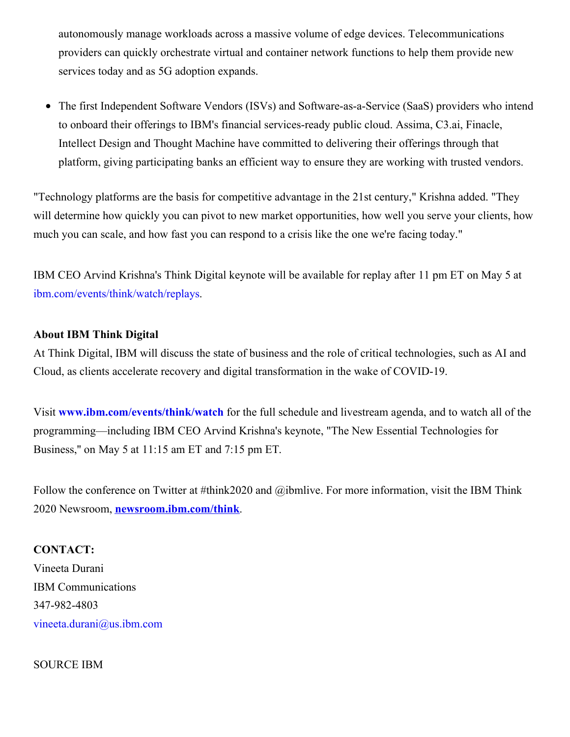autonomously manage workloads across a massive volume of edge devices. Telecommunications providers can quickly orchestrate virtual and container network functions to help them provide new services today and as 5G adoption expands.

The first Independent Software Vendors (ISVs) and Software-as-a-Service (SaaS) providers who intend  $\bullet$ to onboard their offerings to IBM's financial services-ready public cloud. Assima, C3.ai, Finacle, Intellect Design and Thought Machine have committed to delivering their offerings through that platform, giving participating banks an efficient way to ensure they are working with trusted vendors.

"Technology platforms are the basis for competitive advantage in the 21st century," Krishna added. "They will determine how quickly you can pivot to new market opportunities, how well you serve your clients, how much you can scale, and how fast you can respond to a crisis like the one we're facing today."

IBM CEO Arvind Krishna's Think Digital keynote will be available for replay after 11 pm ET on May 5 at [ibm.com/events/think/watch/replays](https://c212.net/c/link/?t=0&l=en&o=2794652-1&h=594198911&u=https%3A%2F%2Fwww.ibm.com%2Fevents%2Fthink%2Fwatch%2Freplays&a=ibm.com%2Fevents%2Fthink%2Fwatch%2Freplays).

## **About IBM Think Digital**

At Think Digital, IBM will discuss the state of business and the role of critical technologies, such as AI and Cloud, as clients accelerate recovery and digital transformation in the wake of COVID-19.

Visit **[www.ibm.com/events/think/watch](https://c212.net/c/link/?t=0&l=en&o=2794652-1&h=230065771&u=http%3A%2F%2Fwww.ibm.com%2Fevents%2Fthink%2Fwatch&a=www.ibm.com%2Fevents%2Fthink%2Fwatch)** for the full schedule and livestream agenda, and to watch all of the programming—including IBM CEO Arvind Krishna's keynote, "The New Essential Technologies for Business,'' on May 5 at 11:15 am ET and 7:15 pm ET.

Follow the conference on Twitter at #think2020 and @ibmlive. For more information, visit the IBM Think 2020 Newsroom, **[newsroom.ibm.com/think](https://c212.net/c/link/?t=0&l=en&o=2794652-1&h=4177476892&u=https%3A%2F%2Fc212.net%2Fc%2Flink%2F%3Ft%3D0%26l%3Den%26o%3D2374480-1%26h%3D1270497638%26u%3Dhttps%253A%252F%252Fnewsroom.ibm.com%252Fthink%26a%3Dhttps%253A%252F%252Fnewsroom.ibm.com%252Fthink&a=newsroom.ibm.com%2Fthink)**.

## **CONTACT:**

Vineeta Durani IBM Communications 347-982-4803 [vineeta.durani@us.ibm.com](mailto:vineeta.durani@us.ibm.com)

SOURCE IBM